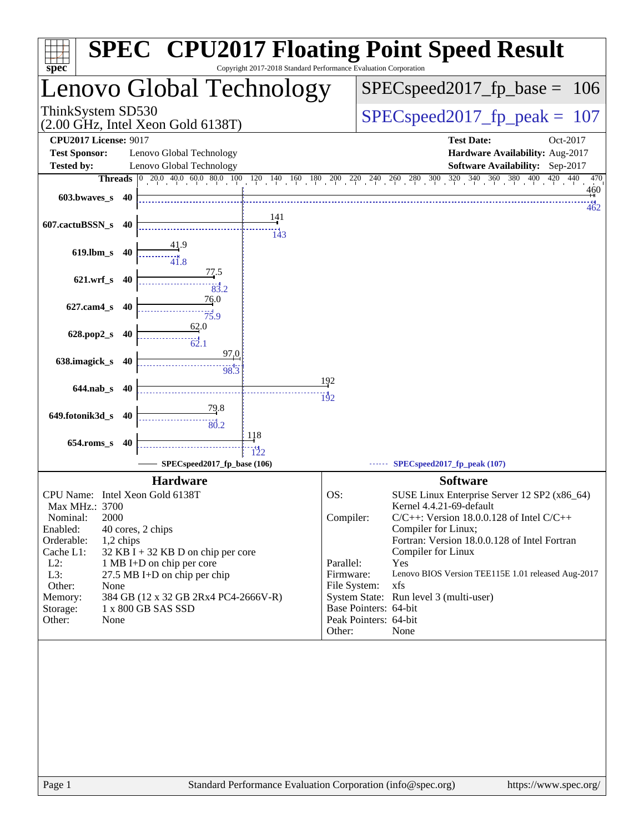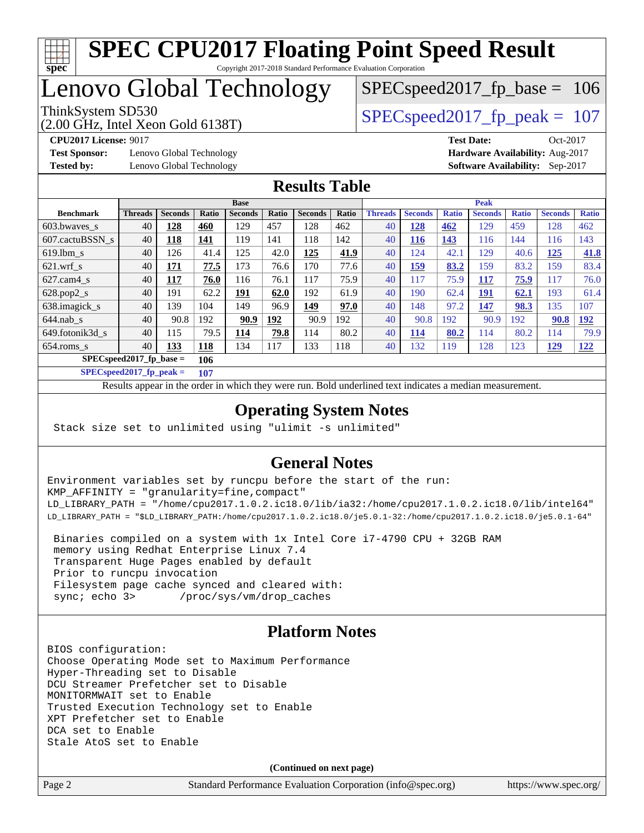

## Lenovo Global Technology

(2.00 GHz, Intel Xeon Gold 6138T)

ThinkSystem SD530  $SPEC speed2017$  fp\_peak = 107

SPECspeed2017 fp base =  $106$ 

**[Test Sponsor:](http://www.spec.org/auto/cpu2017/Docs/result-fields.html#TestSponsor)** Lenovo Global Technology **[Hardware Availability:](http://www.spec.org/auto/cpu2017/Docs/result-fields.html#HardwareAvailability)** Aug-2017 **[Tested by:](http://www.spec.org/auto/cpu2017/Docs/result-fields.html#Testedby)** Lenovo Global Technology **[Software Availability:](http://www.spec.org/auto/cpu2017/Docs/result-fields.html#SoftwareAvailability)** Sep-2017

**[CPU2017 License:](http://www.spec.org/auto/cpu2017/Docs/result-fields.html#CPU2017License)** 9017 **[Test Date:](http://www.spec.org/auto/cpu2017/Docs/result-fields.html#TestDate)** Oct-2017

### **[Results Table](http://www.spec.org/auto/cpu2017/Docs/result-fields.html#ResultsTable)**

|                                    | <b>Base</b>    |                |            |                |       |                | <b>Peak</b> |                |                |              |                |              |                |              |
|------------------------------------|----------------|----------------|------------|----------------|-------|----------------|-------------|----------------|----------------|--------------|----------------|--------------|----------------|--------------|
| <b>Benchmark</b>                   | <b>Threads</b> | <b>Seconds</b> | Ratio      | <b>Seconds</b> | Ratio | <b>Seconds</b> | Ratio       | <b>Threads</b> | <b>Seconds</b> | <b>Ratio</b> | <b>Seconds</b> | <b>Ratio</b> | <b>Seconds</b> | <b>Ratio</b> |
| 603.bwayes s                       | 40             | 128            | 460        | 129            | 457   | 128            | 462         | 40             | <u>128</u>     | 462          | 129            | 459          | 128            | 462          |
| 607.cactuBSSN s                    | 40             | <u> 118</u>    | <u>141</u> | 119            | 141   | 118            | 142         | 40             | <u>116</u>     | 143          | 116            | 144          | 116            | 143          |
| $619.1$ bm s                       | 40             | 126            | 41.4       | 125            | 42.0  | 125            | 41.9        | 40             | 124            | 42.1         | 129            | 40.6         | <u> 125</u>    | <b>41.8</b>  |
| $621$ .wrf s                       | 40             | 171            | 77.5       | 173            | 76.6  | 170            | 77.6        | 40             | <u>159</u>     | 83.2         | 159            | 83.2         | 159            | 83.4         |
| $627$ .cam $4$ s                   | 40             | 117            | 76.0       | 116            | 76.1  | 117            | 75.9        | 40             | 117            | 75.9         | 117            | 75.9         | 117            | 76.0         |
| $628.pop2_s$                       | 40             | 191            | 62.2       | 191            | 62.0  | 192            | 61.9        | 40             | 190            | 62.4         | 191            | 62.1         | 193            | 61.4         |
| 638.imagick_s                      | 40             | 139            | 104        | 149            | 96.9  | 149            | 97.0        | 40             | 148            | 97.2         | 147            | 98.3         | 135            | 107          |
| $644$ .nab s                       | 40             | 90.8           | 192        | 90.9           | 192   | 90.9           | 192         | 40             | 90.8           | 192          | 90.9           | 192          | 90.8           | <u>192</u>   |
| 649.fotonik3d s                    | 40             | 115            | 79.5       | 114            | 79.8  | 114            | 80.2        | 40             | 114            | 80.2         | 114            | 80.2         | 114            | 79.9         |
| $654$ .roms s                      | 40             | 133            | <u>118</u> | 134            | 117   | 133            | 118         | 40             | 132            | 119          | 128            | 123          | 129            | <u>122</u>   |
| $SPEC speed2017_fp\_base =$<br>106 |                |                |            |                |       |                |             |                |                |              |                |              |                |              |

**[SPECspeed2017\\_fp\\_peak =](http://www.spec.org/auto/cpu2017/Docs/result-fields.html#SPECspeed2017fppeak) 107**

Results appear in the [order in which they were run.](http://www.spec.org/auto/cpu2017/Docs/result-fields.html#RunOrder) Bold underlined text [indicates a median measurement](http://www.spec.org/auto/cpu2017/Docs/result-fields.html#Median).

### **[Operating System Notes](http://www.spec.org/auto/cpu2017/Docs/result-fields.html#OperatingSystemNotes)**

Stack size set to unlimited using "ulimit -s unlimited"

### **[General Notes](http://www.spec.org/auto/cpu2017/Docs/result-fields.html#GeneralNotes)**

Environment variables set by runcpu before the start of the run: KMP\_AFFINITY = "granularity=fine,compact" LD\_LIBRARY\_PATH = "/home/cpu2017.1.0.2.ic18.0/lib/ia32:/home/cpu2017.1.0.2.ic18.0/lib/intel64" LD\_LIBRARY\_PATH = "\$LD\_LIBRARY\_PATH:/home/cpu2017.1.0.2.ic18.0/je5.0.1-32:/home/cpu2017.1.0.2.ic18.0/je5.0.1-64"

 Binaries compiled on a system with 1x Intel Core i7-4790 CPU + 32GB RAM memory using Redhat Enterprise Linux 7.4 Transparent Huge Pages enabled by default Prior to runcpu invocation Filesystem page cache synced and cleared with: sync; echo 3> /proc/sys/vm/drop\_caches

### **[Platform Notes](http://www.spec.org/auto/cpu2017/Docs/result-fields.html#PlatformNotes)**

BIOS configuration: Choose Operating Mode set to Maximum Performance Hyper-Threading set to Disable DCU Streamer Prefetcher set to Disable MONITORMWAIT set to Enable Trusted Execution Technology set to Enable XPT Prefetcher set to Enable DCA set to Enable Stale AtoS set to Enable

**(Continued on next page)**

Page 2 Standard Performance Evaluation Corporation [\(info@spec.org\)](mailto:info@spec.org) <https://www.spec.org/>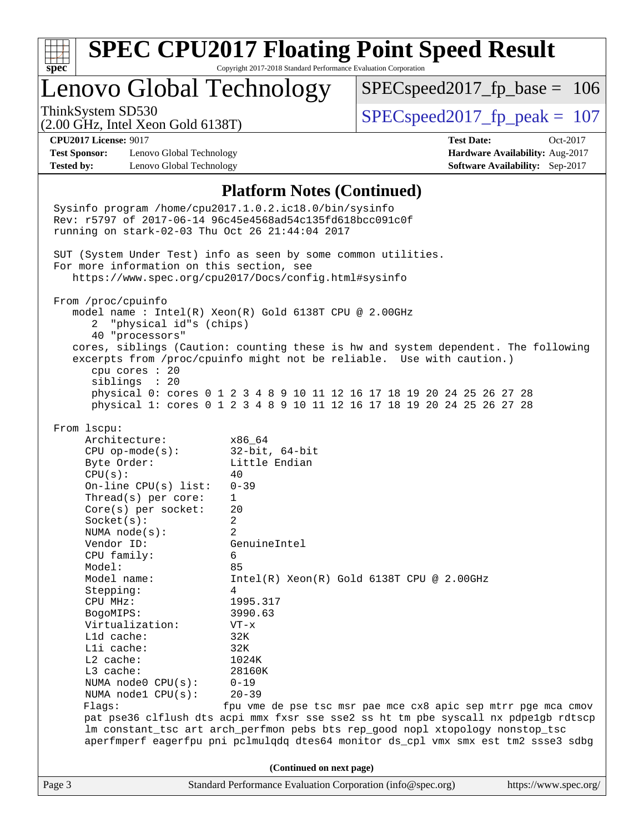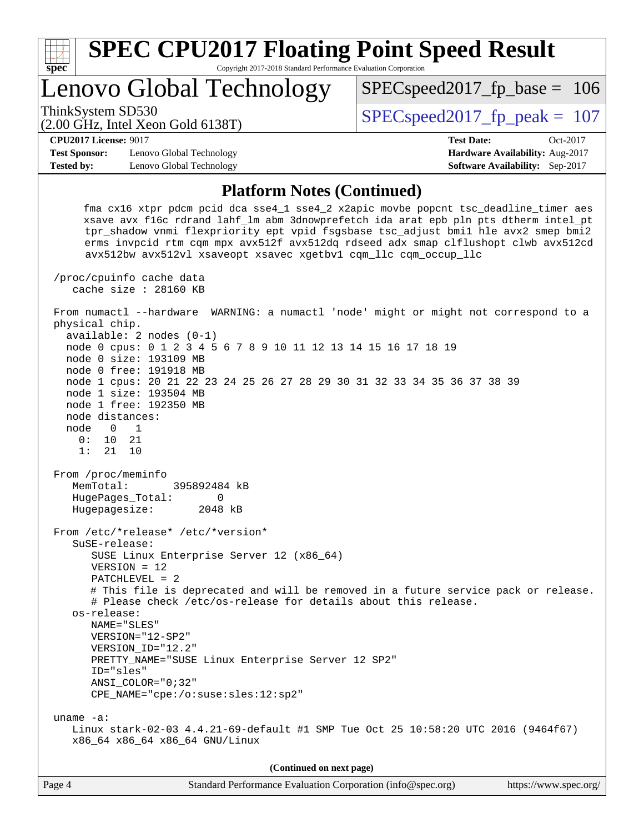

**(Continued on next page)**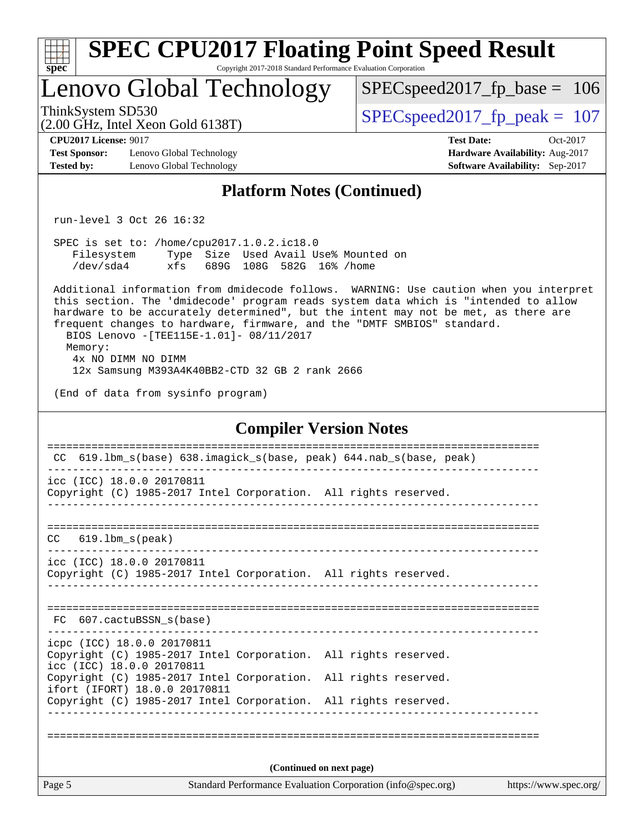| <b>SPEC CPU2017 Floating Point Speed Result</b><br>Spec<br>Copyright 2017-2018 Standard Performance Evaluation Corporation                                                                                                                                                                                                                                                                                                                                                    |                                                                                                       |
|-------------------------------------------------------------------------------------------------------------------------------------------------------------------------------------------------------------------------------------------------------------------------------------------------------------------------------------------------------------------------------------------------------------------------------------------------------------------------------|-------------------------------------------------------------------------------------------------------|
| Lenovo Global Technology                                                                                                                                                                                                                                                                                                                                                                                                                                                      | $SPEC speed2017_fp\_base = 106$                                                                       |
| ThinkSystem SD530<br>$(2.00 \text{ GHz}, \text{Intel Xeon Gold } 6138 \text{T})$                                                                                                                                                                                                                                                                                                                                                                                              | $SPEC speed2017_fp\_peak = 107$                                                                       |
| <b>CPU2017 License: 9017</b><br><b>Test Sponsor:</b><br>Lenovo Global Technology<br><b>Tested by:</b><br>Lenovo Global Technology                                                                                                                                                                                                                                                                                                                                             | <b>Test Date:</b><br>$Oct-2017$<br>Hardware Availability: Aug-2017<br>Software Availability: Sep-2017 |
| <b>Platform Notes (Continued)</b>                                                                                                                                                                                                                                                                                                                                                                                                                                             |                                                                                                       |
| run-level 3 Oct 26 16:32                                                                                                                                                                                                                                                                                                                                                                                                                                                      |                                                                                                       |
| SPEC is set to: /home/cpu2017.1.0.2.ic18.0<br>Type Size Used Avail Use% Mounted on<br>Filesystem<br>/dev/sda4<br>xfs<br>689G 108G 582G 16% / home                                                                                                                                                                                                                                                                                                                             |                                                                                                       |
| Additional information from dmidecode follows. WARNING: Use caution when you interpret<br>this section. The 'dmidecode' program reads system data which is "intended to allow<br>hardware to be accurately determined", but the intent may not be met, as there are<br>frequent changes to hardware, firmware, and the "DMTF SMBIOS" standard.<br>BIOS Lenovo - [TEE115E-1.01]- 08/11/2017<br>Memory:<br>4x NO DIMM NO DIMM<br>12x Samsung M393A4K40BB2-CTD 32 GB 2 rank 2666 |                                                                                                       |
| (End of data from sysinfo program)                                                                                                                                                                                                                                                                                                                                                                                                                                            |                                                                                                       |
| <b>Compiler Version Notes</b><br>619.1bm_s(base) 638.imagick_s(base, peak) 644.nab_s(base, peak)<br>CC.<br>icc (ICC) 18.0.0 20170811<br>Copyright (C) 1985-2017 Intel Corporation. All rights reserved.                                                                                                                                                                                                                                                                       |                                                                                                       |
| $619.1$ bm_s(peak)<br>CC.                                                                                                                                                                                                                                                                                                                                                                                                                                                     |                                                                                                       |
| icc (ICC) 18.0.0 20170811<br>Copyright (C) 1985-2017 Intel Corporation. All rights reserved.                                                                                                                                                                                                                                                                                                                                                                                  |                                                                                                       |
| FC 607.cactuBSSN_s(base)                                                                                                                                                                                                                                                                                                                                                                                                                                                      |                                                                                                       |
| icpc (ICC) 18.0.0 20170811<br>Copyright (C) 1985-2017 Intel Corporation. All rights reserved.<br>icc (ICC) 18.0.0 20170811<br>Copyright (C) 1985-2017 Intel Corporation. All rights reserved.                                                                                                                                                                                                                                                                                 |                                                                                                       |
| ifort (IFORT) 18.0.0 20170811<br>Copyright (C) 1985-2017 Intel Corporation. All rights reserved.                                                                                                                                                                                                                                                                                                                                                                              |                                                                                                       |
|                                                                                                                                                                                                                                                                                                                                                                                                                                                                               |                                                                                                       |
| (Continued on next page)                                                                                                                                                                                                                                                                                                                                                                                                                                                      |                                                                                                       |
| Page 5<br>Standard Performance Evaluation Corporation (info@spec.org)                                                                                                                                                                                                                                                                                                                                                                                                         | https://www.spec.org/                                                                                 |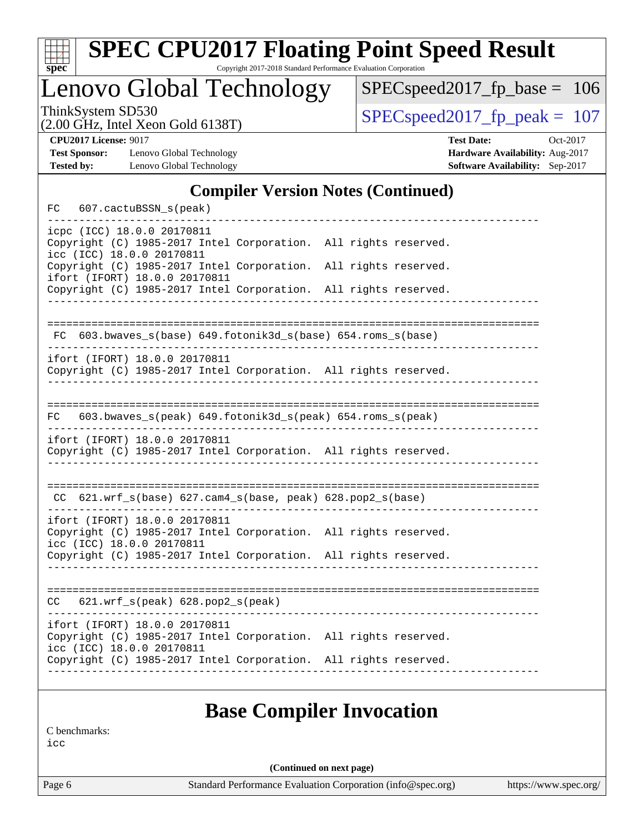| v.<br>t.<br>c |  |  |  |  |  |  |
|---------------|--|--|--|--|--|--|

# **[SPEC CPU2017 Floating Point Speed Result](http://www.spec.org/auto/cpu2017/Docs/result-fields.html#SPECCPU2017FloatingPointSpeedResult)**

Copyright 2017-2018 Standard Performance Evaluation Corporation

Lenovo Global Technology

[SPECspeed2017\\_fp\\_base =](http://www.spec.org/auto/cpu2017/Docs/result-fields.html#SPECspeed2017fpbase) 106

(2.00 GHz, Intel Xeon Gold 6138T)

ThinkSystem SD530<br>  $(2.00 \text{ GHz. Intel } \text{Yeen Gold } 6138 \text{T})$   $\text{SPEC speed2017\_fp\_peak} = 107$ 

**[Test Sponsor:](http://www.spec.org/auto/cpu2017/Docs/result-fields.html#TestSponsor)** Lenovo Global Technology **[Hardware Availability:](http://www.spec.org/auto/cpu2017/Docs/result-fields.html#HardwareAvailability)** Aug-2017 [Tested by:](http://www.spec.org/auto/cpu2017/Docs/result-fields.html#Testedby) Lenovo Global Technology **[Software Availability:](http://www.spec.org/auto/cpu2017/Docs/result-fields.html#SoftwareAvailability)** Sep-2017

**[CPU2017 License:](http://www.spec.org/auto/cpu2017/Docs/result-fields.html#CPU2017License)** 9017 **[Test Date:](http://www.spec.org/auto/cpu2017/Docs/result-fields.html#TestDate)** Oct-2017

### **[Compiler Version Notes \(Continued\)](http://www.spec.org/auto/cpu2017/Docs/result-fields.html#CompilerVersionNotes)**

|     | FC 607.cactuBSSN_s(peak)                                   |                                                                 |                      |  |
|-----|------------------------------------------------------------|-----------------------------------------------------------------|----------------------|--|
|     | icpc (ICC) 18.0.0 20170811<br>icc (ICC) 18.0.0 20170811    | Copyright (C) 1985-2017 Intel Corporation. All rights reserved. |                      |  |
|     | ifort (IFORT) 18.0.0 20170811                              | Copyright (C) 1985-2017 Intel Corporation.                      | All rights reserved. |  |
|     |                                                            | Copyright (C) 1985-2017 Intel Corporation. All rights reserved. |                      |  |
|     |                                                            | FC 603.bwaves_s(base) 649.fotonik3d_s(base) 654.roms_s(base)    |                      |  |
|     | ifort (IFORT) 18.0.0 20170811                              | Copyright (C) 1985-2017 Intel Corporation. All rights reserved. |                      |  |
| FC  |                                                            | 603.bwaves_s(peak) 649.fotonik3d_s(peak) 654.roms_s(peak)       |                      |  |
|     | ifort (IFORT) 18.0.0 20170811                              | Copyright (C) 1985-2017 Intel Corporation. All rights reserved. |                      |  |
|     |                                                            | CC 621.wrf_s(base) 627.cam4_s(base, peak) 628.pop2_s(base)      |                      |  |
|     | ifort (IFORT) 18.0.0 20170811<br>icc (ICC) 18.0.0 20170811 | Copyright (C) 1985-2017 Intel Corporation. All rights reserved. |                      |  |
|     |                                                            | Copyright (C) 1985-2017 Intel Corporation. All rights reserved. |                      |  |
| CC. | 621.wrf_s(peak) 628.pop2_s(peak)                           |                                                                 |                      |  |
|     | ifort (IFORT) 18.0.0 20170811<br>icc (ICC) 18.0.0 20170811 | Copyright (C) 1985-2017 Intel Corporation. All rights reserved. |                      |  |
|     |                                                            | Copyright (C) 1985-2017 Intel Corporation. All rights reserved. |                      |  |

### **[Base Compiler Invocation](http://www.spec.org/auto/cpu2017/Docs/result-fields.html#BaseCompilerInvocation)**

[C benchmarks:](http://www.spec.org/auto/cpu2017/Docs/result-fields.html#Cbenchmarks)

[icc](http://www.spec.org/cpu2017/results/res2017q4/cpu2017-20171114-00712.flags.html#user_CCbase_intel_icc_18.0_66fc1ee009f7361af1fbd72ca7dcefbb700085f36577c54f309893dd4ec40d12360134090235512931783d35fd58c0460139e722d5067c5574d8eaf2b3e37e92)

**(Continued on next page)**

Page 6 Standard Performance Evaluation Corporation [\(info@spec.org\)](mailto:info@spec.org) <https://www.spec.org/>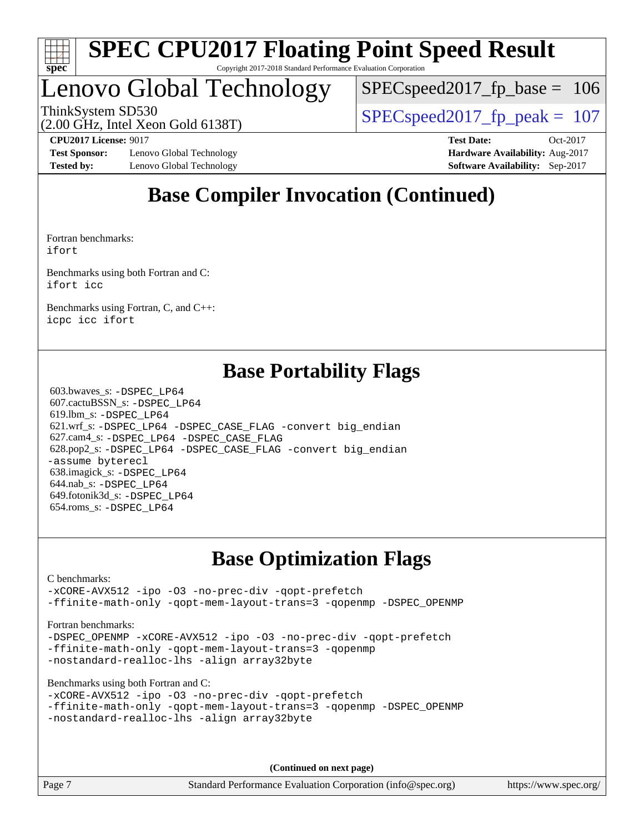

## Lenovo Global Technology

[SPECspeed2017\\_fp\\_base =](http://www.spec.org/auto/cpu2017/Docs/result-fields.html#SPECspeed2017fpbase) 106

ThinkSystem SD530  $SPEC speed2017$  fp\_peak = 107

(2.00 GHz, Intel Xeon Gold 6138T)

**[Test Sponsor:](http://www.spec.org/auto/cpu2017/Docs/result-fields.html#TestSponsor)** Lenovo Global Technology **[Hardware Availability:](http://www.spec.org/auto/cpu2017/Docs/result-fields.html#HardwareAvailability)** Aug-2017 **[Tested by:](http://www.spec.org/auto/cpu2017/Docs/result-fields.html#Testedby)** Lenovo Global Technology **[Software Availability:](http://www.spec.org/auto/cpu2017/Docs/result-fields.html#SoftwareAvailability)** Sep-2017

**[CPU2017 License:](http://www.spec.org/auto/cpu2017/Docs/result-fields.html#CPU2017License)** 9017 **[Test Date:](http://www.spec.org/auto/cpu2017/Docs/result-fields.html#TestDate)** Oct-2017

## **[Base Compiler Invocation \(Continued\)](http://www.spec.org/auto/cpu2017/Docs/result-fields.html#BaseCompilerInvocation)**

[Fortran benchmarks](http://www.spec.org/auto/cpu2017/Docs/result-fields.html#Fortranbenchmarks): [ifort](http://www.spec.org/cpu2017/results/res2017q4/cpu2017-20171114-00712.flags.html#user_FCbase_intel_ifort_18.0_8111460550e3ca792625aed983ce982f94888b8b503583aa7ba2b8303487b4d8a21a13e7191a45c5fd58ff318f48f9492884d4413fa793fd88dd292cad7027ca)

[Benchmarks using both Fortran and C:](http://www.spec.org/auto/cpu2017/Docs/result-fields.html#BenchmarksusingbothFortranandC) [ifort](http://www.spec.org/cpu2017/results/res2017q4/cpu2017-20171114-00712.flags.html#user_CC_FCbase_intel_ifort_18.0_8111460550e3ca792625aed983ce982f94888b8b503583aa7ba2b8303487b4d8a21a13e7191a45c5fd58ff318f48f9492884d4413fa793fd88dd292cad7027ca) [icc](http://www.spec.org/cpu2017/results/res2017q4/cpu2017-20171114-00712.flags.html#user_CC_FCbase_intel_icc_18.0_66fc1ee009f7361af1fbd72ca7dcefbb700085f36577c54f309893dd4ec40d12360134090235512931783d35fd58c0460139e722d5067c5574d8eaf2b3e37e92)

[Benchmarks using Fortran, C, and C++:](http://www.spec.org/auto/cpu2017/Docs/result-fields.html#BenchmarksusingFortranCandCXX) [icpc](http://www.spec.org/cpu2017/results/res2017q4/cpu2017-20171114-00712.flags.html#user_CC_CXX_FCbase_intel_icpc_18.0_c510b6838c7f56d33e37e94d029a35b4a7bccf4766a728ee175e80a419847e808290a9b78be685c44ab727ea267ec2f070ec5dc83b407c0218cded6866a35d07) [icc](http://www.spec.org/cpu2017/results/res2017q4/cpu2017-20171114-00712.flags.html#user_CC_CXX_FCbase_intel_icc_18.0_66fc1ee009f7361af1fbd72ca7dcefbb700085f36577c54f309893dd4ec40d12360134090235512931783d35fd58c0460139e722d5067c5574d8eaf2b3e37e92) [ifort](http://www.spec.org/cpu2017/results/res2017q4/cpu2017-20171114-00712.flags.html#user_CC_CXX_FCbase_intel_ifort_18.0_8111460550e3ca792625aed983ce982f94888b8b503583aa7ba2b8303487b4d8a21a13e7191a45c5fd58ff318f48f9492884d4413fa793fd88dd292cad7027ca)

### **[Base Portability Flags](http://www.spec.org/auto/cpu2017/Docs/result-fields.html#BasePortabilityFlags)**

 603.bwaves\_s: [-DSPEC\\_LP64](http://www.spec.org/cpu2017/results/res2017q4/cpu2017-20171114-00712.flags.html#suite_basePORTABILITY603_bwaves_s_DSPEC_LP64) 607.cactuBSSN\_s: [-DSPEC\\_LP64](http://www.spec.org/cpu2017/results/res2017q4/cpu2017-20171114-00712.flags.html#suite_basePORTABILITY607_cactuBSSN_s_DSPEC_LP64) 619.lbm\_s: [-DSPEC\\_LP64](http://www.spec.org/cpu2017/results/res2017q4/cpu2017-20171114-00712.flags.html#suite_basePORTABILITY619_lbm_s_DSPEC_LP64) 621.wrf\_s: [-DSPEC\\_LP64](http://www.spec.org/cpu2017/results/res2017q4/cpu2017-20171114-00712.flags.html#suite_basePORTABILITY621_wrf_s_DSPEC_LP64) [-DSPEC\\_CASE\\_FLAG](http://www.spec.org/cpu2017/results/res2017q4/cpu2017-20171114-00712.flags.html#b621.wrf_s_baseCPORTABILITY_DSPEC_CASE_FLAG) [-convert big\\_endian](http://www.spec.org/cpu2017/results/res2017q4/cpu2017-20171114-00712.flags.html#user_baseFPORTABILITY621_wrf_s_convert_big_endian_c3194028bc08c63ac5d04de18c48ce6d347e4e562e8892b8bdbdc0214820426deb8554edfa529a3fb25a586e65a3d812c835984020483e7e73212c4d31a38223) 627.cam4\_s: [-DSPEC\\_LP64](http://www.spec.org/cpu2017/results/res2017q4/cpu2017-20171114-00712.flags.html#suite_basePORTABILITY627_cam4_s_DSPEC_LP64) [-DSPEC\\_CASE\\_FLAG](http://www.spec.org/cpu2017/results/res2017q4/cpu2017-20171114-00712.flags.html#b627.cam4_s_baseCPORTABILITY_DSPEC_CASE_FLAG) 628.pop2\_s: [-DSPEC\\_LP64](http://www.spec.org/cpu2017/results/res2017q4/cpu2017-20171114-00712.flags.html#suite_basePORTABILITY628_pop2_s_DSPEC_LP64) [-DSPEC\\_CASE\\_FLAG](http://www.spec.org/cpu2017/results/res2017q4/cpu2017-20171114-00712.flags.html#b628.pop2_s_baseCPORTABILITY_DSPEC_CASE_FLAG) [-convert big\\_endian](http://www.spec.org/cpu2017/results/res2017q4/cpu2017-20171114-00712.flags.html#user_baseFPORTABILITY628_pop2_s_convert_big_endian_c3194028bc08c63ac5d04de18c48ce6d347e4e562e8892b8bdbdc0214820426deb8554edfa529a3fb25a586e65a3d812c835984020483e7e73212c4d31a38223) [-assume byterecl](http://www.spec.org/cpu2017/results/res2017q4/cpu2017-20171114-00712.flags.html#user_baseFPORTABILITY628_pop2_s_assume_byterecl_7e47d18b9513cf18525430bbf0f2177aa9bf368bc7a059c09b2c06a34b53bd3447c950d3f8d6c70e3faf3a05c8557d66a5798b567902e8849adc142926523472) 638.imagick\_s: [-DSPEC\\_LP64](http://www.spec.org/cpu2017/results/res2017q4/cpu2017-20171114-00712.flags.html#suite_basePORTABILITY638_imagick_s_DSPEC_LP64) 644.nab\_s: [-DSPEC\\_LP64](http://www.spec.org/cpu2017/results/res2017q4/cpu2017-20171114-00712.flags.html#suite_basePORTABILITY644_nab_s_DSPEC_LP64) 649.fotonik3d\_s: [-DSPEC\\_LP64](http://www.spec.org/cpu2017/results/res2017q4/cpu2017-20171114-00712.flags.html#suite_basePORTABILITY649_fotonik3d_s_DSPEC_LP64) 654.roms\_s: [-DSPEC\\_LP64](http://www.spec.org/cpu2017/results/res2017q4/cpu2017-20171114-00712.flags.html#suite_basePORTABILITY654_roms_s_DSPEC_LP64)

### **[Base Optimization Flags](http://www.spec.org/auto/cpu2017/Docs/result-fields.html#BaseOptimizationFlags)**

[C benchmarks](http://www.spec.org/auto/cpu2017/Docs/result-fields.html#Cbenchmarks):

[-xCORE-AVX512](http://www.spec.org/cpu2017/results/res2017q4/cpu2017-20171114-00712.flags.html#user_CCbase_f-xCORE-AVX512) [-ipo](http://www.spec.org/cpu2017/results/res2017q4/cpu2017-20171114-00712.flags.html#user_CCbase_f-ipo) [-O3](http://www.spec.org/cpu2017/results/res2017q4/cpu2017-20171114-00712.flags.html#user_CCbase_f-O3) [-no-prec-div](http://www.spec.org/cpu2017/results/res2017q4/cpu2017-20171114-00712.flags.html#user_CCbase_f-no-prec-div) [-qopt-prefetch](http://www.spec.org/cpu2017/results/res2017q4/cpu2017-20171114-00712.flags.html#user_CCbase_f-qopt-prefetch) [-ffinite-math-only](http://www.spec.org/cpu2017/results/res2017q4/cpu2017-20171114-00712.flags.html#user_CCbase_f_finite_math_only_cb91587bd2077682c4b38af759c288ed7c732db004271a9512da14a4f8007909a5f1427ecbf1a0fb78ff2a814402c6114ac565ca162485bbcae155b5e4258871) [-qopt-mem-layout-trans=3](http://www.spec.org/cpu2017/results/res2017q4/cpu2017-20171114-00712.flags.html#user_CCbase_f-qopt-mem-layout-trans_de80db37974c74b1f0e20d883f0b675c88c3b01e9d123adea9b28688d64333345fb62bc4a798493513fdb68f60282f9a726aa07f478b2f7113531aecce732043) [-qopenmp](http://www.spec.org/cpu2017/results/res2017q4/cpu2017-20171114-00712.flags.html#user_CCbase_qopenmp_16be0c44f24f464004c6784a7acb94aca937f053568ce72f94b139a11c7c168634a55f6653758ddd83bcf7b8463e8028bb0b48b77bcddc6b78d5d95bb1df2967) [-DSPEC\\_OPENMP](http://www.spec.org/cpu2017/results/res2017q4/cpu2017-20171114-00712.flags.html#suite_CCbase_DSPEC_OPENMP)

### [Fortran benchmarks](http://www.spec.org/auto/cpu2017/Docs/result-fields.html#Fortranbenchmarks):

[-DSPEC\\_OPENMP](http://www.spec.org/cpu2017/results/res2017q4/cpu2017-20171114-00712.flags.html#suite_FCbase_DSPEC_OPENMP) [-xCORE-AVX512](http://www.spec.org/cpu2017/results/res2017q4/cpu2017-20171114-00712.flags.html#user_FCbase_f-xCORE-AVX512) [-ipo](http://www.spec.org/cpu2017/results/res2017q4/cpu2017-20171114-00712.flags.html#user_FCbase_f-ipo) [-O3](http://www.spec.org/cpu2017/results/res2017q4/cpu2017-20171114-00712.flags.html#user_FCbase_f-O3) [-no-prec-div](http://www.spec.org/cpu2017/results/res2017q4/cpu2017-20171114-00712.flags.html#user_FCbase_f-no-prec-div) [-qopt-prefetch](http://www.spec.org/cpu2017/results/res2017q4/cpu2017-20171114-00712.flags.html#user_FCbase_f-qopt-prefetch) [-ffinite-math-only](http://www.spec.org/cpu2017/results/res2017q4/cpu2017-20171114-00712.flags.html#user_FCbase_f_finite_math_only_cb91587bd2077682c4b38af759c288ed7c732db004271a9512da14a4f8007909a5f1427ecbf1a0fb78ff2a814402c6114ac565ca162485bbcae155b5e4258871) [-qopt-mem-layout-trans=3](http://www.spec.org/cpu2017/results/res2017q4/cpu2017-20171114-00712.flags.html#user_FCbase_f-qopt-mem-layout-trans_de80db37974c74b1f0e20d883f0b675c88c3b01e9d123adea9b28688d64333345fb62bc4a798493513fdb68f60282f9a726aa07f478b2f7113531aecce732043) [-qopenmp](http://www.spec.org/cpu2017/results/res2017q4/cpu2017-20171114-00712.flags.html#user_FCbase_qopenmp_16be0c44f24f464004c6784a7acb94aca937f053568ce72f94b139a11c7c168634a55f6653758ddd83bcf7b8463e8028bb0b48b77bcddc6b78d5d95bb1df2967) [-nostandard-realloc-lhs](http://www.spec.org/cpu2017/results/res2017q4/cpu2017-20171114-00712.flags.html#user_FCbase_f_2003_std_realloc_82b4557e90729c0f113870c07e44d33d6f5a304b4f63d4c15d2d0f1fab99f5daaed73bdb9275d9ae411527f28b936061aa8b9c8f2d63842963b95c9dd6426b8a) [-align array32byte](http://www.spec.org/cpu2017/results/res2017q4/cpu2017-20171114-00712.flags.html#user_FCbase_align_array32byte_b982fe038af199962ba9a80c053b8342c548c85b40b8e86eb3cc33dee0d7986a4af373ac2d51c3f7cf710a18d62fdce2948f201cd044323541f22fc0fffc51b6)

[Benchmarks using both Fortran and C](http://www.spec.org/auto/cpu2017/Docs/result-fields.html#BenchmarksusingbothFortranandC):

| -xCORE-AVX512 -ipo -03 -no-prec-div -gopt-prefetch                 |  |
|--------------------------------------------------------------------|--|
| -ffinite-math-only -qopt-mem-layout-trans=3 -qopenmp -DSPEC OPENMP |  |
| -nostandard-realloc-lhs -align array32byte                         |  |

**(Continued on next page)**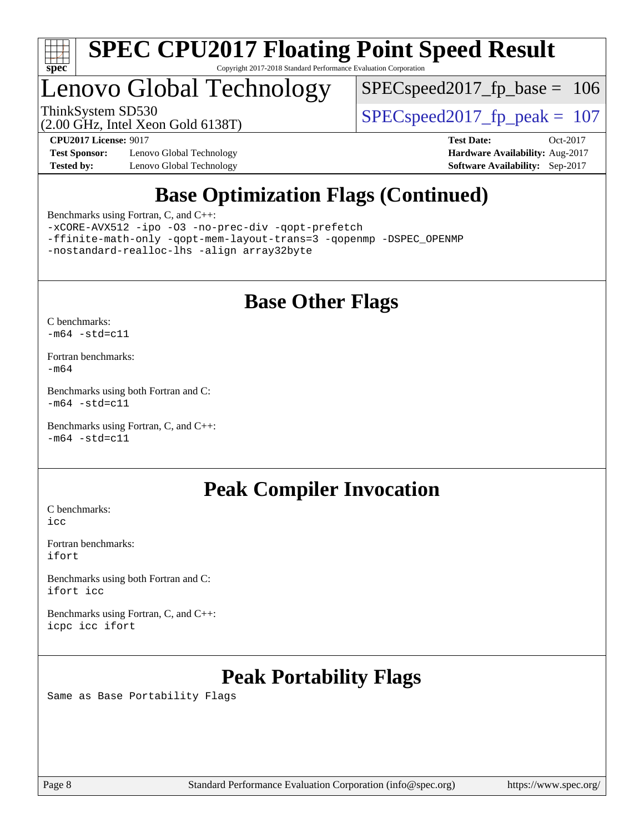

## Lenovo Global Technology

[SPECspeed2017\\_fp\\_base =](http://www.spec.org/auto/cpu2017/Docs/result-fields.html#SPECspeed2017fpbase) 106

(2.00 GHz, Intel Xeon Gold 6138T)

ThinkSystem SD530  $SPEC speed2017$  fp\_peak = 107

**[Test Sponsor:](http://www.spec.org/auto/cpu2017/Docs/result-fields.html#TestSponsor)** Lenovo Global Technology **[Hardware Availability:](http://www.spec.org/auto/cpu2017/Docs/result-fields.html#HardwareAvailability)** Aug-2017 **[Tested by:](http://www.spec.org/auto/cpu2017/Docs/result-fields.html#Testedby)** Lenovo Global Technology **[Software Availability:](http://www.spec.org/auto/cpu2017/Docs/result-fields.html#SoftwareAvailability)** Sep-2017

**[CPU2017 License:](http://www.spec.org/auto/cpu2017/Docs/result-fields.html#CPU2017License)** 9017 **[Test Date:](http://www.spec.org/auto/cpu2017/Docs/result-fields.html#TestDate)** Oct-2017

## **[Base Optimization Flags \(Continued\)](http://www.spec.org/auto/cpu2017/Docs/result-fields.html#BaseOptimizationFlags)**

[Benchmarks using Fortran, C, and C++:](http://www.spec.org/auto/cpu2017/Docs/result-fields.html#BenchmarksusingFortranCandCXX)

[-xCORE-AVX512](http://www.spec.org/cpu2017/results/res2017q4/cpu2017-20171114-00712.flags.html#user_CC_CXX_FCbase_f-xCORE-AVX512) [-ipo](http://www.spec.org/cpu2017/results/res2017q4/cpu2017-20171114-00712.flags.html#user_CC_CXX_FCbase_f-ipo) [-O3](http://www.spec.org/cpu2017/results/res2017q4/cpu2017-20171114-00712.flags.html#user_CC_CXX_FCbase_f-O3) [-no-prec-div](http://www.spec.org/cpu2017/results/res2017q4/cpu2017-20171114-00712.flags.html#user_CC_CXX_FCbase_f-no-prec-div) [-qopt-prefetch](http://www.spec.org/cpu2017/results/res2017q4/cpu2017-20171114-00712.flags.html#user_CC_CXX_FCbase_f-qopt-prefetch) [-ffinite-math-only](http://www.spec.org/cpu2017/results/res2017q4/cpu2017-20171114-00712.flags.html#user_CC_CXX_FCbase_f_finite_math_only_cb91587bd2077682c4b38af759c288ed7c732db004271a9512da14a4f8007909a5f1427ecbf1a0fb78ff2a814402c6114ac565ca162485bbcae155b5e4258871) [-qopt-mem-layout-trans=3](http://www.spec.org/cpu2017/results/res2017q4/cpu2017-20171114-00712.flags.html#user_CC_CXX_FCbase_f-qopt-mem-layout-trans_de80db37974c74b1f0e20d883f0b675c88c3b01e9d123adea9b28688d64333345fb62bc4a798493513fdb68f60282f9a726aa07f478b2f7113531aecce732043) [-qopenmp](http://www.spec.org/cpu2017/results/res2017q4/cpu2017-20171114-00712.flags.html#user_CC_CXX_FCbase_qopenmp_16be0c44f24f464004c6784a7acb94aca937f053568ce72f94b139a11c7c168634a55f6653758ddd83bcf7b8463e8028bb0b48b77bcddc6b78d5d95bb1df2967) [-DSPEC\\_OPENMP](http://www.spec.org/cpu2017/results/res2017q4/cpu2017-20171114-00712.flags.html#suite_CC_CXX_FCbase_DSPEC_OPENMP) [-nostandard-realloc-lhs](http://www.spec.org/cpu2017/results/res2017q4/cpu2017-20171114-00712.flags.html#user_CC_CXX_FCbase_f_2003_std_realloc_82b4557e90729c0f113870c07e44d33d6f5a304b4f63d4c15d2d0f1fab99f5daaed73bdb9275d9ae411527f28b936061aa8b9c8f2d63842963b95c9dd6426b8a) [-align array32byte](http://www.spec.org/cpu2017/results/res2017q4/cpu2017-20171114-00712.flags.html#user_CC_CXX_FCbase_align_array32byte_b982fe038af199962ba9a80c053b8342c548c85b40b8e86eb3cc33dee0d7986a4af373ac2d51c3f7cf710a18d62fdce2948f201cd044323541f22fc0fffc51b6)

## **[Base Other Flags](http://www.spec.org/auto/cpu2017/Docs/result-fields.html#BaseOtherFlags)**

[C benchmarks](http://www.spec.org/auto/cpu2017/Docs/result-fields.html#Cbenchmarks):  $-m64 - std= c11$  $-m64 - std= c11$ 

[Fortran benchmarks](http://www.spec.org/auto/cpu2017/Docs/result-fields.html#Fortranbenchmarks): [-m64](http://www.spec.org/cpu2017/results/res2017q4/cpu2017-20171114-00712.flags.html#user_FCbase_intel_intel64_18.0_af43caccfc8ded86e7699f2159af6efc7655f51387b94da716254467f3c01020a5059329e2569e4053f409e7c9202a7efc638f7a6d1ffb3f52dea4a3e31d82ab)

[Benchmarks using both Fortran and C](http://www.spec.org/auto/cpu2017/Docs/result-fields.html#BenchmarksusingbothFortranandC):  $-m64$   $-std=cl1$ 

[Benchmarks using Fortran, C, and C++:](http://www.spec.org/auto/cpu2017/Docs/result-fields.html#BenchmarksusingFortranCandCXX)  $-m64$   $-std=cl1$ 

### **[Peak Compiler Invocation](http://www.spec.org/auto/cpu2017/Docs/result-fields.html#PeakCompilerInvocation)**

[C benchmarks](http://www.spec.org/auto/cpu2017/Docs/result-fields.html#Cbenchmarks): [icc](http://www.spec.org/cpu2017/results/res2017q4/cpu2017-20171114-00712.flags.html#user_CCpeak_intel_icc_18.0_66fc1ee009f7361af1fbd72ca7dcefbb700085f36577c54f309893dd4ec40d12360134090235512931783d35fd58c0460139e722d5067c5574d8eaf2b3e37e92)

[Fortran benchmarks](http://www.spec.org/auto/cpu2017/Docs/result-fields.html#Fortranbenchmarks): [ifort](http://www.spec.org/cpu2017/results/res2017q4/cpu2017-20171114-00712.flags.html#user_FCpeak_intel_ifort_18.0_8111460550e3ca792625aed983ce982f94888b8b503583aa7ba2b8303487b4d8a21a13e7191a45c5fd58ff318f48f9492884d4413fa793fd88dd292cad7027ca)

[Benchmarks using both Fortran and C](http://www.spec.org/auto/cpu2017/Docs/result-fields.html#BenchmarksusingbothFortranandC): [ifort](http://www.spec.org/cpu2017/results/res2017q4/cpu2017-20171114-00712.flags.html#user_CC_FCpeak_intel_ifort_18.0_8111460550e3ca792625aed983ce982f94888b8b503583aa7ba2b8303487b4d8a21a13e7191a45c5fd58ff318f48f9492884d4413fa793fd88dd292cad7027ca) [icc](http://www.spec.org/cpu2017/results/res2017q4/cpu2017-20171114-00712.flags.html#user_CC_FCpeak_intel_icc_18.0_66fc1ee009f7361af1fbd72ca7dcefbb700085f36577c54f309893dd4ec40d12360134090235512931783d35fd58c0460139e722d5067c5574d8eaf2b3e37e92)

[Benchmarks using Fortran, C, and C++:](http://www.spec.org/auto/cpu2017/Docs/result-fields.html#BenchmarksusingFortranCandCXX) [icpc](http://www.spec.org/cpu2017/results/res2017q4/cpu2017-20171114-00712.flags.html#user_CC_CXX_FCpeak_intel_icpc_18.0_c510b6838c7f56d33e37e94d029a35b4a7bccf4766a728ee175e80a419847e808290a9b78be685c44ab727ea267ec2f070ec5dc83b407c0218cded6866a35d07) [icc](http://www.spec.org/cpu2017/results/res2017q4/cpu2017-20171114-00712.flags.html#user_CC_CXX_FCpeak_intel_icc_18.0_66fc1ee009f7361af1fbd72ca7dcefbb700085f36577c54f309893dd4ec40d12360134090235512931783d35fd58c0460139e722d5067c5574d8eaf2b3e37e92) [ifort](http://www.spec.org/cpu2017/results/res2017q4/cpu2017-20171114-00712.flags.html#user_CC_CXX_FCpeak_intel_ifort_18.0_8111460550e3ca792625aed983ce982f94888b8b503583aa7ba2b8303487b4d8a21a13e7191a45c5fd58ff318f48f9492884d4413fa793fd88dd292cad7027ca)

## **[Peak Portability Flags](http://www.spec.org/auto/cpu2017/Docs/result-fields.html#PeakPortabilityFlags)**

Same as Base Portability Flags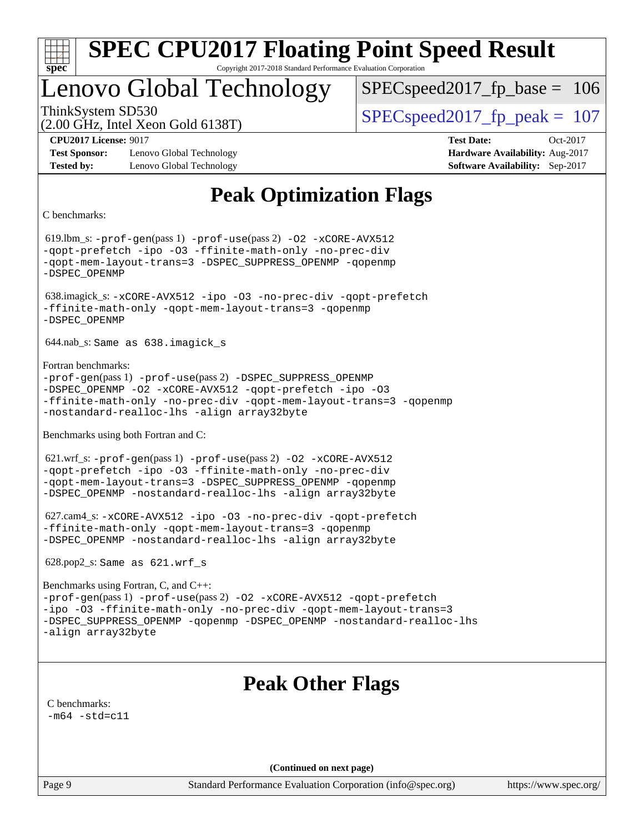

## Lenovo Global Technology

SPECspeed2017 fp base  $= 106$ 

(2.00 GHz, Intel Xeon Gold 6138T)

ThinkSystem SD530  $SPEC speed2017$  fp\_peak = 107

**[Test Sponsor:](http://www.spec.org/auto/cpu2017/Docs/result-fields.html#TestSponsor)** Lenovo Global Technology **[Hardware Availability:](http://www.spec.org/auto/cpu2017/Docs/result-fields.html#HardwareAvailability)** Aug-2017 **[Tested by:](http://www.spec.org/auto/cpu2017/Docs/result-fields.html#Testedby)** Lenovo Global Technology **[Software Availability:](http://www.spec.org/auto/cpu2017/Docs/result-fields.html#SoftwareAvailability)** Sep-2017

**[CPU2017 License:](http://www.spec.org/auto/cpu2017/Docs/result-fields.html#CPU2017License)** 9017 **[Test Date:](http://www.spec.org/auto/cpu2017/Docs/result-fields.html#TestDate)** Oct-2017

## **[Peak Optimization Flags](http://www.spec.org/auto/cpu2017/Docs/result-fields.html#PeakOptimizationFlags)**

[C benchmarks](http://www.spec.org/auto/cpu2017/Docs/result-fields.html#Cbenchmarks):

 619.lbm\_s: [-prof-gen](http://www.spec.org/cpu2017/results/res2017q4/cpu2017-20171114-00712.flags.html#user_peakPASS1_CFLAGSPASS1_LDFLAGS619_lbm_s_prof_gen_5aa4926d6013ddb2a31985c654b3eb18169fc0c6952a63635c234f711e6e63dd76e94ad52365559451ec499a2cdb89e4dc58ba4c67ef54ca681ffbe1461d6b36)(pass 1) [-prof-use](http://www.spec.org/cpu2017/results/res2017q4/cpu2017-20171114-00712.flags.html#user_peakPASS2_CFLAGSPASS2_LDFLAGS619_lbm_s_prof_use_1a21ceae95f36a2b53c25747139a6c16ca95bd9def2a207b4f0849963b97e94f5260e30a0c64f4bb623698870e679ca08317ef8150905d41bd88c6f78df73f19)(pass 2) [-O2](http://www.spec.org/cpu2017/results/res2017q4/cpu2017-20171114-00712.flags.html#user_peakPASS1_COPTIMIZE619_lbm_s_f-O2) [-xCORE-AVX512](http://www.spec.org/cpu2017/results/res2017q4/cpu2017-20171114-00712.flags.html#user_peakPASS2_COPTIMIZE619_lbm_s_f-xCORE-AVX512) [-qopt-prefetch](http://www.spec.org/cpu2017/results/res2017q4/cpu2017-20171114-00712.flags.html#user_peakPASS1_COPTIMIZEPASS2_COPTIMIZE619_lbm_s_f-qopt-prefetch) [-ipo](http://www.spec.org/cpu2017/results/res2017q4/cpu2017-20171114-00712.flags.html#user_peakPASS2_COPTIMIZE619_lbm_s_f-ipo) [-O3](http://www.spec.org/cpu2017/results/res2017q4/cpu2017-20171114-00712.flags.html#user_peakPASS2_COPTIMIZE619_lbm_s_f-O3) [-ffinite-math-only](http://www.spec.org/cpu2017/results/res2017q4/cpu2017-20171114-00712.flags.html#user_peakPASS1_COPTIMIZEPASS2_COPTIMIZE619_lbm_s_f_finite_math_only_cb91587bd2077682c4b38af759c288ed7c732db004271a9512da14a4f8007909a5f1427ecbf1a0fb78ff2a814402c6114ac565ca162485bbcae155b5e4258871) [-no-prec-div](http://www.spec.org/cpu2017/results/res2017q4/cpu2017-20171114-00712.flags.html#user_peakPASS2_COPTIMIZE619_lbm_s_f-no-prec-div) [-qopt-mem-layout-trans=3](http://www.spec.org/cpu2017/results/res2017q4/cpu2017-20171114-00712.flags.html#user_peakPASS1_COPTIMIZEPASS2_COPTIMIZE619_lbm_s_f-qopt-mem-layout-trans_de80db37974c74b1f0e20d883f0b675c88c3b01e9d123adea9b28688d64333345fb62bc4a798493513fdb68f60282f9a726aa07f478b2f7113531aecce732043) [-DSPEC\\_SUPPRESS\\_OPENMP](http://www.spec.org/cpu2017/results/res2017q4/cpu2017-20171114-00712.flags.html#suite_peakPASS1_COPTIMIZE619_lbm_s_DSPEC_SUPPRESS_OPENMP) [-qopenmp](http://www.spec.org/cpu2017/results/res2017q4/cpu2017-20171114-00712.flags.html#user_peakPASS2_COPTIMIZE619_lbm_s_qopenmp_16be0c44f24f464004c6784a7acb94aca937f053568ce72f94b139a11c7c168634a55f6653758ddd83bcf7b8463e8028bb0b48b77bcddc6b78d5d95bb1df2967) [-DSPEC\\_OPENMP](http://www.spec.org/cpu2017/results/res2017q4/cpu2017-20171114-00712.flags.html#suite_peakPASS2_COPTIMIZE619_lbm_s_DSPEC_OPENMP) 638.imagick\_s: [-xCORE-AVX512](http://www.spec.org/cpu2017/results/res2017q4/cpu2017-20171114-00712.flags.html#user_peakCOPTIMIZE638_imagick_s_f-xCORE-AVX512) [-ipo](http://www.spec.org/cpu2017/results/res2017q4/cpu2017-20171114-00712.flags.html#user_peakCOPTIMIZE638_imagick_s_f-ipo) [-O3](http://www.spec.org/cpu2017/results/res2017q4/cpu2017-20171114-00712.flags.html#user_peakCOPTIMIZE638_imagick_s_f-O3) [-no-prec-div](http://www.spec.org/cpu2017/results/res2017q4/cpu2017-20171114-00712.flags.html#user_peakCOPTIMIZE638_imagick_s_f-no-prec-div) [-qopt-prefetch](http://www.spec.org/cpu2017/results/res2017q4/cpu2017-20171114-00712.flags.html#user_peakCOPTIMIZE638_imagick_s_f-qopt-prefetch) [-ffinite-math-only](http://www.spec.org/cpu2017/results/res2017q4/cpu2017-20171114-00712.flags.html#user_peakCOPTIMIZE638_imagick_s_f_finite_math_only_cb91587bd2077682c4b38af759c288ed7c732db004271a9512da14a4f8007909a5f1427ecbf1a0fb78ff2a814402c6114ac565ca162485bbcae155b5e4258871) [-qopt-mem-layout-trans=3](http://www.spec.org/cpu2017/results/res2017q4/cpu2017-20171114-00712.flags.html#user_peakCOPTIMIZE638_imagick_s_f-qopt-mem-layout-trans_de80db37974c74b1f0e20d883f0b675c88c3b01e9d123adea9b28688d64333345fb62bc4a798493513fdb68f60282f9a726aa07f478b2f7113531aecce732043) [-qopenmp](http://www.spec.org/cpu2017/results/res2017q4/cpu2017-20171114-00712.flags.html#user_peakCOPTIMIZE638_imagick_s_qopenmp_16be0c44f24f464004c6784a7acb94aca937f053568ce72f94b139a11c7c168634a55f6653758ddd83bcf7b8463e8028bb0b48b77bcddc6b78d5d95bb1df2967) [-DSPEC\\_OPENMP](http://www.spec.org/cpu2017/results/res2017q4/cpu2017-20171114-00712.flags.html#suite_peakCOPTIMIZE638_imagick_s_DSPEC_OPENMP) 644.nab\_s: Same as 638.imagick\_s [Fortran benchmarks:](http://www.spec.org/auto/cpu2017/Docs/result-fields.html#Fortranbenchmarks) [-prof-gen](http://www.spec.org/cpu2017/results/res2017q4/cpu2017-20171114-00712.flags.html#user_FCpeak_prof_gen_5aa4926d6013ddb2a31985c654b3eb18169fc0c6952a63635c234f711e6e63dd76e94ad52365559451ec499a2cdb89e4dc58ba4c67ef54ca681ffbe1461d6b36)(pass 1) [-prof-use](http://www.spec.org/cpu2017/results/res2017q4/cpu2017-20171114-00712.flags.html#user_FCpeak_prof_use_1a21ceae95f36a2b53c25747139a6c16ca95bd9def2a207b4f0849963b97e94f5260e30a0c64f4bb623698870e679ca08317ef8150905d41bd88c6f78df73f19)(pass 2) [-DSPEC\\_SUPPRESS\\_OPENMP](http://www.spec.org/cpu2017/results/res2017q4/cpu2017-20171114-00712.flags.html#suite_FCpeak_DSPEC_SUPPRESS_OPENMP) [-DSPEC\\_OPENMP](http://www.spec.org/cpu2017/results/res2017q4/cpu2017-20171114-00712.flags.html#suite_FCpeak_DSPEC_OPENMP) [-O2](http://www.spec.org/cpu2017/results/res2017q4/cpu2017-20171114-00712.flags.html#user_FCpeak_f-O2) [-xCORE-AVX512](http://www.spec.org/cpu2017/results/res2017q4/cpu2017-20171114-00712.flags.html#user_FCpeak_f-xCORE-AVX512) [-qopt-prefetch](http://www.spec.org/cpu2017/results/res2017q4/cpu2017-20171114-00712.flags.html#user_FCpeak_f-qopt-prefetch) [-ipo](http://www.spec.org/cpu2017/results/res2017q4/cpu2017-20171114-00712.flags.html#user_FCpeak_f-ipo) [-O3](http://www.spec.org/cpu2017/results/res2017q4/cpu2017-20171114-00712.flags.html#user_FCpeak_f-O3) [-ffinite-math-only](http://www.spec.org/cpu2017/results/res2017q4/cpu2017-20171114-00712.flags.html#user_FCpeak_f_finite_math_only_cb91587bd2077682c4b38af759c288ed7c732db004271a9512da14a4f8007909a5f1427ecbf1a0fb78ff2a814402c6114ac565ca162485bbcae155b5e4258871) [-no-prec-div](http://www.spec.org/cpu2017/results/res2017q4/cpu2017-20171114-00712.flags.html#user_FCpeak_f-no-prec-div) [-qopt-mem-layout-trans=3](http://www.spec.org/cpu2017/results/res2017q4/cpu2017-20171114-00712.flags.html#user_FCpeak_f-qopt-mem-layout-trans_de80db37974c74b1f0e20d883f0b675c88c3b01e9d123adea9b28688d64333345fb62bc4a798493513fdb68f60282f9a726aa07f478b2f7113531aecce732043) [-qopenmp](http://www.spec.org/cpu2017/results/res2017q4/cpu2017-20171114-00712.flags.html#user_FCpeak_qopenmp_16be0c44f24f464004c6784a7acb94aca937f053568ce72f94b139a11c7c168634a55f6653758ddd83bcf7b8463e8028bb0b48b77bcddc6b78d5d95bb1df2967) [-nostandard-realloc-lhs](http://www.spec.org/cpu2017/results/res2017q4/cpu2017-20171114-00712.flags.html#user_FCpeak_f_2003_std_realloc_82b4557e90729c0f113870c07e44d33d6f5a304b4f63d4c15d2d0f1fab99f5daaed73bdb9275d9ae411527f28b936061aa8b9c8f2d63842963b95c9dd6426b8a) [-align array32byte](http://www.spec.org/cpu2017/results/res2017q4/cpu2017-20171114-00712.flags.html#user_FCpeak_align_array32byte_b982fe038af199962ba9a80c053b8342c548c85b40b8e86eb3cc33dee0d7986a4af373ac2d51c3f7cf710a18d62fdce2948f201cd044323541f22fc0fffc51b6) [Benchmarks using both Fortran and C](http://www.spec.org/auto/cpu2017/Docs/result-fields.html#BenchmarksusingbothFortranandC): 621.wrf\_s: [-prof-gen](http://www.spec.org/cpu2017/results/res2017q4/cpu2017-20171114-00712.flags.html#user_peakPASS1_CFLAGSPASS1_FFLAGSPASS1_LDFLAGS621_wrf_s_prof_gen_5aa4926d6013ddb2a31985c654b3eb18169fc0c6952a63635c234f711e6e63dd76e94ad52365559451ec499a2cdb89e4dc58ba4c67ef54ca681ffbe1461d6b36)(pass 1) [-prof-use](http://www.spec.org/cpu2017/results/res2017q4/cpu2017-20171114-00712.flags.html#user_peakPASS2_CFLAGSPASS2_FFLAGSPASS2_LDFLAGS621_wrf_s_prof_use_1a21ceae95f36a2b53c25747139a6c16ca95bd9def2a207b4f0849963b97e94f5260e30a0c64f4bb623698870e679ca08317ef8150905d41bd88c6f78df73f19)(pass 2) [-O2](http://www.spec.org/cpu2017/results/res2017q4/cpu2017-20171114-00712.flags.html#user_peakPASS1_COPTIMIZEPASS1_FOPTIMIZE621_wrf_s_f-O2) [-xCORE-AVX512](http://www.spec.org/cpu2017/results/res2017q4/cpu2017-20171114-00712.flags.html#user_peakPASS2_COPTIMIZEPASS2_FOPTIMIZE621_wrf_s_f-xCORE-AVX512) [-qopt-prefetch](http://www.spec.org/cpu2017/results/res2017q4/cpu2017-20171114-00712.flags.html#user_peakPASS1_COPTIMIZEPASS1_FOPTIMIZEPASS2_COPTIMIZEPASS2_FOPTIMIZE621_wrf_s_f-qopt-prefetch) [-ipo](http://www.spec.org/cpu2017/results/res2017q4/cpu2017-20171114-00712.flags.html#user_peakPASS2_COPTIMIZEPASS2_FOPTIMIZE621_wrf_s_f-ipo) [-O3](http://www.spec.org/cpu2017/results/res2017q4/cpu2017-20171114-00712.flags.html#user_peakPASS2_COPTIMIZEPASS2_FOPTIMIZE621_wrf_s_f-O3) [-ffinite-math-only](http://www.spec.org/cpu2017/results/res2017q4/cpu2017-20171114-00712.flags.html#user_peakPASS1_COPTIMIZEPASS1_FOPTIMIZEPASS2_COPTIMIZEPASS2_FOPTIMIZE621_wrf_s_f_finite_math_only_cb91587bd2077682c4b38af759c288ed7c732db004271a9512da14a4f8007909a5f1427ecbf1a0fb78ff2a814402c6114ac565ca162485bbcae155b5e4258871) [-no-prec-div](http://www.spec.org/cpu2017/results/res2017q4/cpu2017-20171114-00712.flags.html#user_peakPASS2_COPTIMIZEPASS2_FOPTIMIZE621_wrf_s_f-no-prec-div) [-qopt-mem-layout-trans=3](http://www.spec.org/cpu2017/results/res2017q4/cpu2017-20171114-00712.flags.html#user_peakPASS1_COPTIMIZEPASS1_FOPTIMIZEPASS2_COPTIMIZEPASS2_FOPTIMIZE621_wrf_s_f-qopt-mem-layout-trans_de80db37974c74b1f0e20d883f0b675c88c3b01e9d123adea9b28688d64333345fb62bc4a798493513fdb68f60282f9a726aa07f478b2f7113531aecce732043) [-DSPEC\\_SUPPRESS\\_OPENMP](http://www.spec.org/cpu2017/results/res2017q4/cpu2017-20171114-00712.flags.html#suite_peakPASS1_COPTIMIZEPASS1_FOPTIMIZE621_wrf_s_DSPEC_SUPPRESS_OPENMP) [-qopenmp](http://www.spec.org/cpu2017/results/res2017q4/cpu2017-20171114-00712.flags.html#user_peakPASS2_COPTIMIZEPASS2_FOPTIMIZE621_wrf_s_qopenmp_16be0c44f24f464004c6784a7acb94aca937f053568ce72f94b139a11c7c168634a55f6653758ddd83bcf7b8463e8028bb0b48b77bcddc6b78d5d95bb1df2967) [-DSPEC\\_OPENMP](http://www.spec.org/cpu2017/results/res2017q4/cpu2017-20171114-00712.flags.html#suite_peakPASS2_COPTIMIZEPASS2_FOPTIMIZE621_wrf_s_DSPEC_OPENMP) [-nostandard-realloc-lhs](http://www.spec.org/cpu2017/results/res2017q4/cpu2017-20171114-00712.flags.html#user_peakEXTRA_FOPTIMIZE621_wrf_s_f_2003_std_realloc_82b4557e90729c0f113870c07e44d33d6f5a304b4f63d4c15d2d0f1fab99f5daaed73bdb9275d9ae411527f28b936061aa8b9c8f2d63842963b95c9dd6426b8a) [-align array32byte](http://www.spec.org/cpu2017/results/res2017q4/cpu2017-20171114-00712.flags.html#user_peakEXTRA_FOPTIMIZE621_wrf_s_align_array32byte_b982fe038af199962ba9a80c053b8342c548c85b40b8e86eb3cc33dee0d7986a4af373ac2d51c3f7cf710a18d62fdce2948f201cd044323541f22fc0fffc51b6) 627.cam4\_s: [-xCORE-AVX512](http://www.spec.org/cpu2017/results/res2017q4/cpu2017-20171114-00712.flags.html#user_peakCOPTIMIZEFOPTIMIZE627_cam4_s_f-xCORE-AVX512) [-ipo](http://www.spec.org/cpu2017/results/res2017q4/cpu2017-20171114-00712.flags.html#user_peakCOPTIMIZEFOPTIMIZE627_cam4_s_f-ipo) [-O3](http://www.spec.org/cpu2017/results/res2017q4/cpu2017-20171114-00712.flags.html#user_peakCOPTIMIZEFOPTIMIZE627_cam4_s_f-O3) [-no-prec-div](http://www.spec.org/cpu2017/results/res2017q4/cpu2017-20171114-00712.flags.html#user_peakCOPTIMIZEFOPTIMIZE627_cam4_s_f-no-prec-div) [-qopt-prefetch](http://www.spec.org/cpu2017/results/res2017q4/cpu2017-20171114-00712.flags.html#user_peakCOPTIMIZEFOPTIMIZE627_cam4_s_f-qopt-prefetch) [-ffinite-math-only](http://www.spec.org/cpu2017/results/res2017q4/cpu2017-20171114-00712.flags.html#user_peakCOPTIMIZEFOPTIMIZE627_cam4_s_f_finite_math_only_cb91587bd2077682c4b38af759c288ed7c732db004271a9512da14a4f8007909a5f1427ecbf1a0fb78ff2a814402c6114ac565ca162485bbcae155b5e4258871) [-qopt-mem-layout-trans=3](http://www.spec.org/cpu2017/results/res2017q4/cpu2017-20171114-00712.flags.html#user_peakCOPTIMIZEFOPTIMIZE627_cam4_s_f-qopt-mem-layout-trans_de80db37974c74b1f0e20d883f0b675c88c3b01e9d123adea9b28688d64333345fb62bc4a798493513fdb68f60282f9a726aa07f478b2f7113531aecce732043) [-qopenmp](http://www.spec.org/cpu2017/results/res2017q4/cpu2017-20171114-00712.flags.html#user_peakCOPTIMIZEFOPTIMIZE627_cam4_s_qopenmp_16be0c44f24f464004c6784a7acb94aca937f053568ce72f94b139a11c7c168634a55f6653758ddd83bcf7b8463e8028bb0b48b77bcddc6b78d5d95bb1df2967) [-DSPEC\\_OPENMP](http://www.spec.org/cpu2017/results/res2017q4/cpu2017-20171114-00712.flags.html#suite_peakCOPTIMIZEFOPTIMIZE627_cam4_s_DSPEC_OPENMP) [-nostandard-realloc-lhs](http://www.spec.org/cpu2017/results/res2017q4/cpu2017-20171114-00712.flags.html#user_peakEXTRA_FOPTIMIZE627_cam4_s_f_2003_std_realloc_82b4557e90729c0f113870c07e44d33d6f5a304b4f63d4c15d2d0f1fab99f5daaed73bdb9275d9ae411527f28b936061aa8b9c8f2d63842963b95c9dd6426b8a) [-align array32byte](http://www.spec.org/cpu2017/results/res2017q4/cpu2017-20171114-00712.flags.html#user_peakEXTRA_FOPTIMIZE627_cam4_s_align_array32byte_b982fe038af199962ba9a80c053b8342c548c85b40b8e86eb3cc33dee0d7986a4af373ac2d51c3f7cf710a18d62fdce2948f201cd044323541f22fc0fffc51b6) 628.pop2\_s: Same as 621.wrf\_s [Benchmarks using Fortran, C, and C++](http://www.spec.org/auto/cpu2017/Docs/result-fields.html#BenchmarksusingFortranCandCXX): [-prof-gen](http://www.spec.org/cpu2017/results/res2017q4/cpu2017-20171114-00712.flags.html#user_CC_CXX_FCpeak_prof_gen_5aa4926d6013ddb2a31985c654b3eb18169fc0c6952a63635c234f711e6e63dd76e94ad52365559451ec499a2cdb89e4dc58ba4c67ef54ca681ffbe1461d6b36)(pass 1) [-prof-use](http://www.spec.org/cpu2017/results/res2017q4/cpu2017-20171114-00712.flags.html#user_CC_CXX_FCpeak_prof_use_1a21ceae95f36a2b53c25747139a6c16ca95bd9def2a207b4f0849963b97e94f5260e30a0c64f4bb623698870e679ca08317ef8150905d41bd88c6f78df73f19)(pass 2) [-O2](http://www.spec.org/cpu2017/results/res2017q4/cpu2017-20171114-00712.flags.html#user_CC_CXX_FCpeak_f-O2) [-xCORE-AVX512](http://www.spec.org/cpu2017/results/res2017q4/cpu2017-20171114-00712.flags.html#user_CC_CXX_FCpeak_f-xCORE-AVX512) [-qopt-prefetch](http://www.spec.org/cpu2017/results/res2017q4/cpu2017-20171114-00712.flags.html#user_CC_CXX_FCpeak_f-qopt-prefetch) [-ipo](http://www.spec.org/cpu2017/results/res2017q4/cpu2017-20171114-00712.flags.html#user_CC_CXX_FCpeak_f-ipo) [-O3](http://www.spec.org/cpu2017/results/res2017q4/cpu2017-20171114-00712.flags.html#user_CC_CXX_FCpeak_f-O3) [-ffinite-math-only](http://www.spec.org/cpu2017/results/res2017q4/cpu2017-20171114-00712.flags.html#user_CC_CXX_FCpeak_f_finite_math_only_cb91587bd2077682c4b38af759c288ed7c732db004271a9512da14a4f8007909a5f1427ecbf1a0fb78ff2a814402c6114ac565ca162485bbcae155b5e4258871) [-no-prec-div](http://www.spec.org/cpu2017/results/res2017q4/cpu2017-20171114-00712.flags.html#user_CC_CXX_FCpeak_f-no-prec-div) [-qopt-mem-layout-trans=3](http://www.spec.org/cpu2017/results/res2017q4/cpu2017-20171114-00712.flags.html#user_CC_CXX_FCpeak_f-qopt-mem-layout-trans_de80db37974c74b1f0e20d883f0b675c88c3b01e9d123adea9b28688d64333345fb62bc4a798493513fdb68f60282f9a726aa07f478b2f7113531aecce732043) [-DSPEC\\_SUPPRESS\\_OPENMP](http://www.spec.org/cpu2017/results/res2017q4/cpu2017-20171114-00712.flags.html#suite_CC_CXX_FCpeak_DSPEC_SUPPRESS_OPENMP) [-qopenmp](http://www.spec.org/cpu2017/results/res2017q4/cpu2017-20171114-00712.flags.html#user_CC_CXX_FCpeak_qopenmp_16be0c44f24f464004c6784a7acb94aca937f053568ce72f94b139a11c7c168634a55f6653758ddd83bcf7b8463e8028bb0b48b77bcddc6b78d5d95bb1df2967) [-DSPEC\\_OPENMP](http://www.spec.org/cpu2017/results/res2017q4/cpu2017-20171114-00712.flags.html#suite_CC_CXX_FCpeak_DSPEC_OPENMP) [-nostandard-realloc-lhs](http://www.spec.org/cpu2017/results/res2017q4/cpu2017-20171114-00712.flags.html#user_CC_CXX_FCpeak_f_2003_std_realloc_82b4557e90729c0f113870c07e44d33d6f5a304b4f63d4c15d2d0f1fab99f5daaed73bdb9275d9ae411527f28b936061aa8b9c8f2d63842963b95c9dd6426b8a) [-align array32byte](http://www.spec.org/cpu2017/results/res2017q4/cpu2017-20171114-00712.flags.html#user_CC_CXX_FCpeak_align_array32byte_b982fe038af199962ba9a80c053b8342c548c85b40b8e86eb3cc33dee0d7986a4af373ac2d51c3f7cf710a18d62fdce2948f201cd044323541f22fc0fffc51b6) **[Peak Other Flags](http://www.spec.org/auto/cpu2017/Docs/result-fields.html#PeakOtherFlags)** [C benchmarks](http://www.spec.org/auto/cpu2017/Docs/result-fields.html#Cbenchmarks):  $-m64 - std= c11$  $-m64 - std= c11$ **(Continued on next page)**

Page 9 Standard Performance Evaluation Corporation [\(info@spec.org\)](mailto:info@spec.org) <https://www.spec.org/>